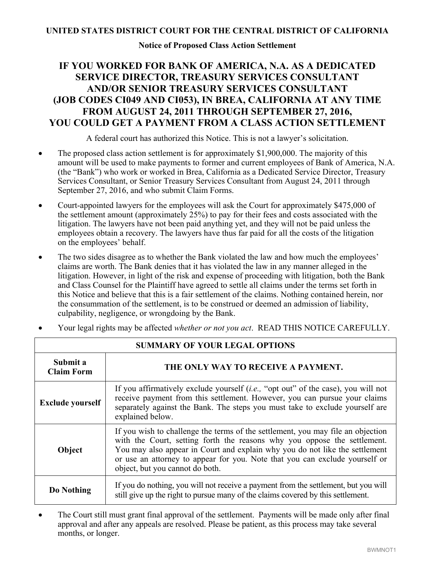### **UNITED STATES DISTRICT COURT FOR THE CENTRAL DISTRICT OF CALIFORNIA**

**Notice of Proposed Class Action Settlement** 

# **IF YOU WORKED FOR BANK OF AMERICA, N.A. AS A DEDICATED SERVICE DIRECTOR, TREASURY SERVICES CONSULTANT AND/OR SENIOR TREASURY SERVICES CONSULTANT (JOB CODES CI049 AND CI053), IN BREA, CALIFORNIA AT ANY TIME FROM AUGUST 24, 2011 THROUGH SEPTEMBER 27, 2016, YOU COULD GET A PAYMENT FROM A CLASS ACTION SETTLEMENT**

A federal court has authorized this Notice. This is not a lawyer's solicitation.

- The proposed class action settlement is for approximately \$1,900,000. The majority of this amount will be used to make payments to former and current employees of Bank of America, N.A. (the "Bank") who work or worked in Brea, California as a Dedicated Service Director, Treasury Services Consultant, or Senior Treasury Services Consultant from August 24, 2011 through September 27, 2016, and who submit Claim Forms.
- Court-appointed lawyers for the employees will ask the Court for approximately \$475,000 of the settlement amount (approximately 25%) to pay for their fees and costs associated with the litigation. The lawyers have not been paid anything yet, and they will not be paid unless the employees obtain a recovery. The lawyers have thus far paid for all the costs of the litigation on the employees' behalf.
- The two sides disagree as to whether the Bank violated the law and how much the employees' claims are worth. The Bank denies that it has violated the law in any manner alleged in the litigation. However, in light of the risk and expense of proceeding with litigation, both the Bank and Class Counsel for the Plaintiff have agreed to settle all claims under the terms set forth in this Notice and believe that this is a fair settlement of the claims. Nothing contained herein, nor the consummation of the settlement, is to be construed or deemed an admission of liability, culpability, negligence, or wrongdoing by the Bank.

| SUMMARY OF YOUR LEGAL OPTIONS |                                                                                                                                                                                                                                                                                                                                                              |
|-------------------------------|--------------------------------------------------------------------------------------------------------------------------------------------------------------------------------------------------------------------------------------------------------------------------------------------------------------------------------------------------------------|
| Submit a<br><b>Claim Form</b> | THE ONLY WAY TO RECEIVE A PAYMENT.                                                                                                                                                                                                                                                                                                                           |
| <b>Exclude yourself</b>       | If you affirmatively exclude yourself ( <i>i.e.</i> , "opt out" of the case), you will not<br>receive payment from this settlement. However, you can pursue your claims<br>separately against the Bank. The steps you must take to exclude yourself are<br>explained below.                                                                                  |
| Object                        | If you wish to challenge the terms of the settlement, you may file an objection<br>with the Court, setting forth the reasons why you oppose the settlement.<br>You may also appear in Court and explain why you do not like the settlement<br>or use an attorney to appear for you. Note that you can exclude yourself or<br>object, but you cannot do both. |
| Do Nothing                    | If you do nothing, you will not receive a payment from the settlement, but you will<br>still give up the right to pursue many of the claims covered by this settlement.                                                                                                                                                                                      |

 Your legal rights may be affected *whether or not you act*. READ THIS NOTICE CAREFULLY. **SUMMARY OF YOUR LEGAL OPTIONS** 

 The Court still must grant final approval of the settlement. Payments will be made only after final approval and after any appeals are resolved. Please be patient, as this process may take several months, or longer.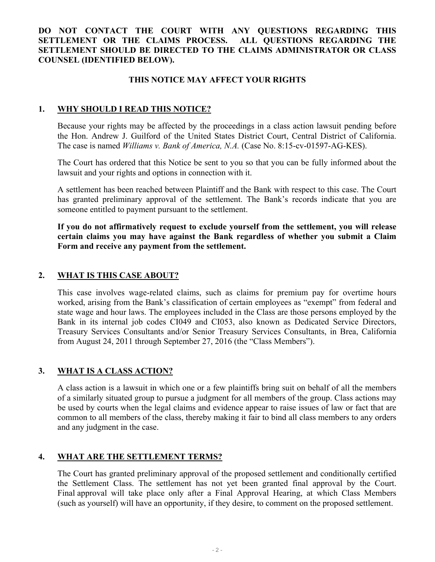### **DO NOT CONTACT THE COURT WITH ANY QUESTIONS REGARDING THIS SETTLEMENT OR THE CLAIMS PROCESS. ALL QUESTIONS REGARDING THE SETTLEMENT SHOULD BE DIRECTED TO THE CLAIMS ADMINISTRATOR OR CLASS COUNSEL (IDENTIFIED BELOW).**

#### **THIS NOTICE MAY AFFECT YOUR RIGHTS**

#### **1. WHY SHOULD I READ THIS NOTICE?**

Because your rights may be affected by the proceedings in a class action lawsuit pending before the Hon. Andrew J. Guilford of the United States District Court, Central District of California. The case is named *Williams v. Bank of America, N.A.* (Case No. 8:15-cv-01597-AG-KES).

The Court has ordered that this Notice be sent to you so that you can be fully informed about the lawsuit and your rights and options in connection with it.

A settlement has been reached between Plaintiff and the Bank with respect to this case. The Court has granted preliminary approval of the settlement. The Bank's records indicate that you are someone entitled to payment pursuant to the settlement.

**If you do not affirmatively request to exclude yourself from the settlement, you will release certain claims you may have against the Bank regardless of whether you submit a Claim Form and receive any payment from the settlement.** 

#### **2. WHAT IS THIS CASE ABOUT?**

This case involves wage-related claims, such as claims for premium pay for overtime hours worked, arising from the Bank's classification of certain employees as "exempt" from federal and state wage and hour laws. The employees included in the Class are those persons employed by the Bank in its internal job codes CI049 and CI053, also known as Dedicated Service Directors, Treasury Services Consultants and/or Senior Treasury Services Consultants, in Brea, California from August 24, 2011 through September 27, 2016 (the "Class Members").

#### **3. WHAT IS A CLASS ACTION?**

A class action is a lawsuit in which one or a few plaintiffs bring suit on behalf of all the members of a similarly situated group to pursue a judgment for all members of the group. Class actions may be used by courts when the legal claims and evidence appear to raise issues of law or fact that are common to all members of the class, thereby making it fair to bind all class members to any orders and any judgment in the case.

#### **4. WHAT ARE THE SETTLEMENT TERMS?**

The Court has granted preliminary approval of the proposed settlement and conditionally certified the Settlement Class. The settlement has not yet been granted final approval by the Court. Final approval will take place only after a Final Approval Hearing, at which Class Members (such as yourself) will have an opportunity, if they desire, to comment on the proposed settlement.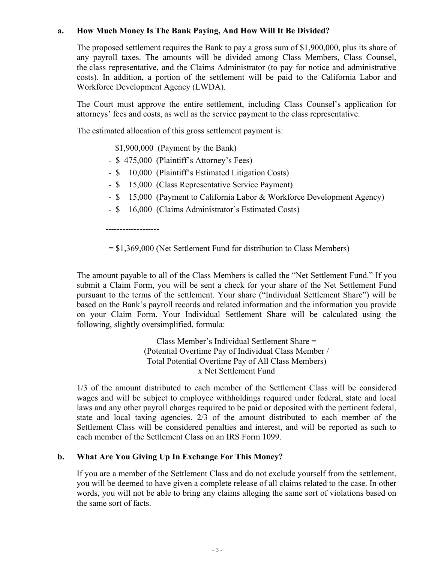#### **a. How Much Money Is The Bank Paying, And How Will It Be Divided?**

The proposed settlement requires the Bank to pay a gross sum of \$1,900,000, plus its share of any payroll taxes. The amounts will be divided among Class Members, Class Counsel, the class representative, and the Claims Administrator (to pay for notice and administrative costs). In addition, a portion of the settlement will be paid to the California Labor and Workforce Development Agency (LWDA).

The Court must approve the entire settlement, including Class Counsel's application for attorneys' fees and costs, as well as the service payment to the class representative.

The estimated allocation of this gross settlement payment is:

\$1,900,000 (Payment by the Bank)

-------------------

- \$ 475,000 (Plaintiff's Attorney's Fees)
- \$ 10,000 (Plaintiff's Estimated Litigation Costs)
- \$ 15,000 (Class Representative Service Payment)
- \$ 15,000 (Payment to California Labor & Workforce Development Agency)
- \$ 16,000 (Claims Administrator's Estimated Costs)

= \$1,369,000 (Net Settlement Fund for distribution to Class Members)

The amount payable to all of the Class Members is called the "Net Settlement Fund." If you submit a Claim Form, you will be sent a check for your share of the Net Settlement Fund pursuant to the terms of the settlement. Your share ("Individual Settlement Share") will be based on the Bank's payroll records and related information and the information you provide on your Claim Form. Your Individual Settlement Share will be calculated using the following, slightly oversimplified, formula:

> Class Member's Individual Settlement Share = (Potential Overtime Pay of Individual Class Member / Total Potential Overtime Pay of All Class Members) x Net Settlement Fund

1/3 of the amount distributed to each member of the Settlement Class will be considered wages and will be subject to employee withholdings required under federal, state and local laws and any other payroll charges required to be paid or deposited with the pertinent federal, state and local taxing agencies. 2/3 of the amount distributed to each member of the Settlement Class will be considered penalties and interest, and will be reported as such to each member of the Settlement Class on an IRS Form 1099.

#### **b. What Are You Giving Up In Exchange For This Money?**

If you are a member of the Settlement Class and do not exclude yourself from the settlement, you will be deemed to have given a complete release of all claims related to the case. In other words, you will not be able to bring any claims alleging the same sort of violations based on the same sort of facts.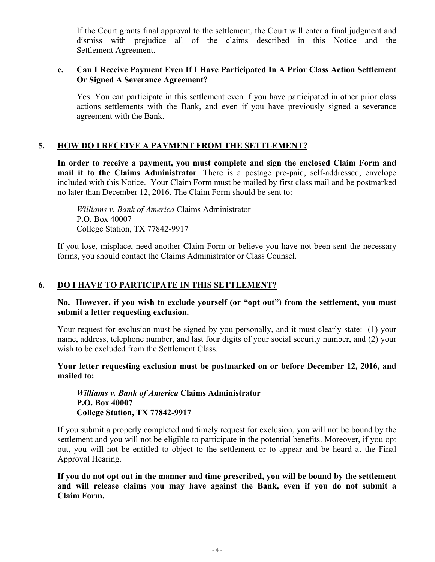If the Court grants final approval to the settlement, the Court will enter a final judgment and dismiss with prejudice all of the claims described in this Notice and the Settlement Agreement.

#### **c. Can I Receive Payment Even If I Have Participated In A Prior Class Action Settlement Or Signed A Severance Agreement?**

Yes. You can participate in this settlement even if you have participated in other prior class actions settlements with the Bank, and even if you have previously signed a severance agreement with the Bank.

## **5. HOW DO I RECEIVE A PAYMENT FROM THE SETTLEMENT?**

**In order to receive a payment, you must complete and sign the enclosed Claim Form and mail it to the Claims Administrator**. There is a postage pre-paid, self-addressed, envelope included with this Notice. Your Claim Form must be mailed by first class mail and be postmarked no later than December 12, 2016. The Claim Form should be sent to:

*Williams v. Bank of America* Claims Administrator P.O. Box 40007 College Station, TX 77842-9917

If you lose, misplace, need another Claim Form or believe you have not been sent the necessary forms, you should contact the Claims Administrator or Class Counsel.

### **6. DO I HAVE TO PARTICIPATE IN THIS SETTLEMENT?**

#### **No. However, if you wish to exclude yourself (or "opt out") from the settlement, you must submit a letter requesting exclusion.**

Your request for exclusion must be signed by you personally, and it must clearly state: (1) your name, address, telephone number, and last four digits of your social security number, and (2) your wish to be excluded from the Settlement Class.

**Your letter requesting exclusion must be postmarked on or before December 12, 2016, and mailed to:** 

*Williams v. Bank of America* **Claims Administrator P.O. Box 40007 College Station, TX 77842-9917** 

If you submit a properly completed and timely request for exclusion, you will not be bound by the settlement and you will not be eligible to participate in the potential benefits. Moreover, if you opt out, you will not be entitled to object to the settlement or to appear and be heard at the Final Approval Hearing.

**If you do not opt out in the manner and time prescribed, you will be bound by the settlement and will release claims you may have against the Bank, even if you do not submit a Claim Form.**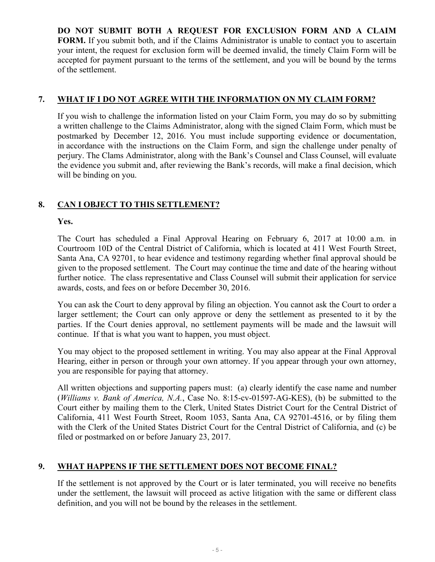**DO NOT SUBMIT BOTH A REQUEST FOR EXCLUSION FORM AND A CLAIM FORM.** If you submit both, and if the Claims Administrator is unable to contact you to ascertain your intent, the request for exclusion form will be deemed invalid, the timely Claim Form will be accepted for payment pursuant to the terms of the settlement, and you will be bound by the terms of the settlement.

# **7. WHAT IF I DO NOT AGREE WITH THE INFORMATION ON MY CLAIM FORM?**

If you wish to challenge the information listed on your Claim Form, you may do so by submitting a written challenge to the Claims Administrator, along with the signed Claim Form, which must be postmarked by December 12, 2016. You must include supporting evidence or documentation, in accordance with the instructions on the Claim Form, and sign the challenge under penalty of perjury. The Clams Administrator, along with the Bank's Counsel and Class Counsel, will evaluate the evidence you submit and, after reviewing the Bank's records, will make a final decision, which will be binding on you.

# **8. CAN I OBJECT TO THIS SETTLEMENT?**

#### **Yes.**

The Court has scheduled a Final Approval Hearing on February 6, 2017 at 10:00 a.m. in Courtroom 10D of the Central District of California, which is located at 411 West Fourth Street, Santa Ana, CA 92701, to hear evidence and testimony regarding whether final approval should be given to the proposed settlement. The Court may continue the time and date of the hearing without further notice. The class representative and Class Counsel will submit their application for service awards, costs, and fees on or before December 30, 2016.

You can ask the Court to deny approval by filing an objection. You cannot ask the Court to order a larger settlement; the Court can only approve or deny the settlement as presented to it by the parties. If the Court denies approval, no settlement payments will be made and the lawsuit will continue. If that is what you want to happen, you must object.

You may object to the proposed settlement in writing. You may also appear at the Final Approval Hearing, either in person or through your own attorney. If you appear through your own attorney, you are responsible for paying that attorney.

All written objections and supporting papers must: (a) clearly identify the case name and number (*Williams v. Bank of America, N.A.*, Case No. 8:15-cv-01597-AG-KES), (b) be submitted to the Court either by mailing them to the Clerk, United States District Court for the Central District of California, 411 West Fourth Street, Room 1053, Santa Ana, CA 92701-4516, or by filing them with the Clerk of the United States District Court for the Central District of California, and (c) be filed or postmarked on or before January 23, 2017.

### **9. WHAT HAPPENS IF THE SETTLEMENT DOES NOT BECOME FINAL?**

If the settlement is not approved by the Court or is later terminated, you will receive no benefits under the settlement, the lawsuit will proceed as active litigation with the same or different class definition, and you will not be bound by the releases in the settlement.